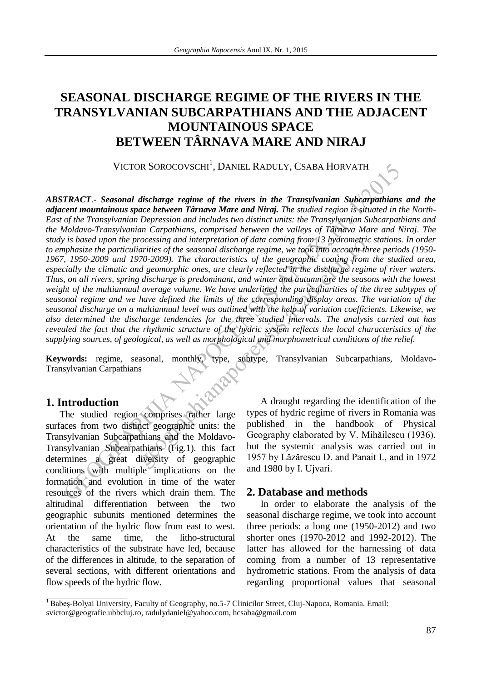# **SEASONAL DISCHARGE REGIME OF THE RIVERS IN THE TRANSYLVANIAN SUBCARPATHIANS AND THE ADJACENT MOUNTAINOUS SPACE BETWEEN TÂRNAVA MARE AND NIRAJ**

VICTOR SOROCOVSCHI<sup>1</sup>, DANIEL RADULY, CSABA HORVATH

VICTOR SOROCOVSCHI', DANIEL RADULY, CSABA HORVATH<br>
TRACT. Seasonal discharge regime of the rivers in the Transplarantan Subcarpathians<br>
cent mountainous space between Tarnava Mare and Niraj. The studied region is situated becessing and interpretation of adia coming from 15 nyarometric<br>arrivals of the seasonal discharge regime, we took thito account-the<br>arrivals of the seasonal discharge regime we took that account the<br>degraphic ones, are cl *ABSTRACT.- Seasonal discharge regime of the rivers in the Transylvanian Subcarpathians and the adjacent mountainous space between Târnava Mare and Niraj. The studied region is situated in the North-East of the Transylvanian Depression and includes two distinct units: the Transylvanian Subcarpathians and the Moldavo-Transylvanian Carpathians, comprised between the valleys of Târnava Mare and Niraj. The study is based upon the processing and interpretation of data coming from 13 hydrometric stations. In order to emphasize the particuliarities of the seasonal discharge regime, we took into account three periods (1950- 1967, 1950-2009 and 1970-2009). The characteristics of the geographic coating from the studied area, especially the climatic and geomorphic ones, are clearly reflected in the discharge regime of river waters. Thus, on all rivers, spring discharge is predominant, and winter and autumn are the seasons with the lowest weight of the multiannual average volume. We have underlined the particuliarities of the three subtypes of seasonal regime and we have defined the limits of the corresponding display areas. The variation of the seasonal discharge on a multiannual level was outlined with the help of variation coefficients. Likewise, we also determined the discharge tendencies for the three studied intervals. The analysis carried out has revealed the fact that the rhythmic structure of the hydric system reflects the local characteristics of the supplying sources, of geological, as well as morphological and morphometrical conditions of the relief.* 

**Keywords:** regime, seasonal, monthly, type, subtype, Transylvanian Subcarpathians, Moldavo-Transylvanian Carpathians

# **1. Introduction**

The studied region comprises rather large surfaces from two distinct geographic units: the Transylvanian Subcarpathians and the Moldavo-Transylvanian Subcarpathians (Fig.1). this fact determines a great diversity of geographic conditions with multiple implications on the formation and evolution in time of the water resources of the rivers which drain them. The altitudinal differentiation between the two geographic subunits mentioned determines the orientation of the hydric flow from east to west. At the same time, the litho-structural characteristics of the substrate have led, because of the differences in altitude, to the separation of several sections, with different orientations and flow speeds of the hydric flow.

A draught regarding the identification of the types of hydric regime of rivers in Romania was published in the handbook of Physical Geography elaborated by V. Mihăilescu (1936), but the systemic analysis was carried out in 1957 by Lăzărescu D. and Panait I., and in 1972 and 1980 by I. Ujvari.

## **2. Database and methods**

In order to elaborate the analysis of the seasonal discharge regime, we took into account three periods: a long one (1950-2012) and two shorter ones (1970-2012 and 1992-2012). The latter has allowed for the harnessing of data coming from a number of 13 representative hydrometric stations. From the analysis of data regarding proportional values that seasonal

<sup>&</sup>lt;sup>1</sup> Babeș-Bolyai University, Faculty of Geography, no.5-7 Clinicilor Street, Cluj-Napoca, Romania. Email: svictor@geografie.ubbcluj.ro, radulydaniel@yahoo.com, hcsaba@gmail.com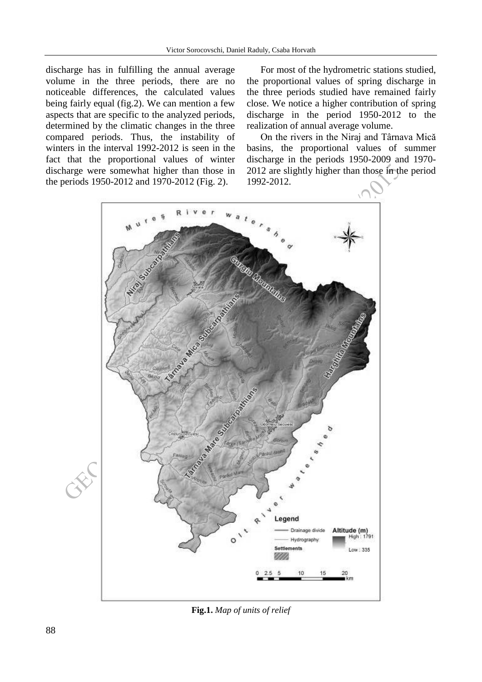discharge has in fulfilling the annual average volume in the three periods, there are no noticeable differences, the calculated values being fairly equal (fig.2). We can mention a few aspects that are specific to the analyzed periods, determined by the climatic changes in the three compared periods. Thus, the instability of winters in the interval 1992-2012 is seen in the fact that the proportional values of winter discharge were somewhat higher than those in the periods 1950-2012 and 1970-2012 (Fig. 2).

For most of the hydrometric stations studied, the proportional values of spring discharge in the three periods studied have remained fairly close. We notice a higher contribution of spring discharge in the period 1950-2012 to the realization of annual average volume.

On the rivers in the Niraj and Târnava Mică basins, the proportional values of summer discharge in the periods 1950-2009 and 1970- 2012 are slightly higher than those in the period 1992-2012.



**Fig.1.** *Map of units of relief*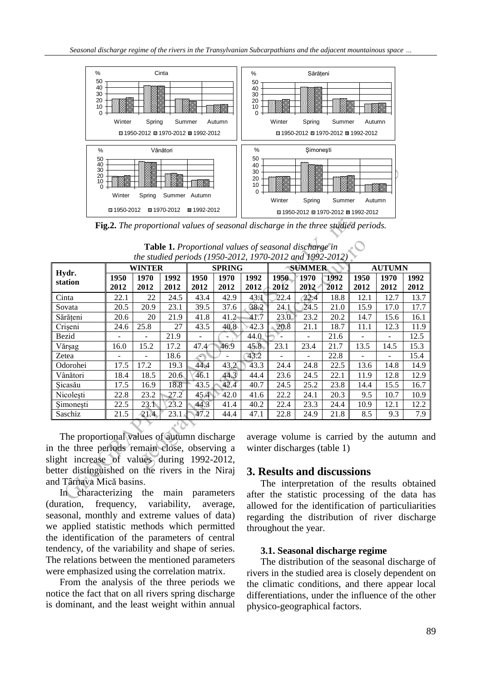

**Fig.2.** *The proportional values of seasonal discharge in the three studied periods.* 

| $\frac{40}{30}$                                                                                                                                                                                    | 20<br>10<br>$\Omega$<br>Winter<br>国 1950-2012<br>Fig.2. The proportional values of seasonal discharge in the three studied periods. | Spring       | ⊠ 1970-2012   | Summer Autumn<br>■ 1992-2012 |              | 40<br>30<br>20<br>10<br>0 | Winter        | Spring<br>図 1950-2012 図 1970-2012 図 1992-2012 | Summer       | -82<br>Autumn  |              |              |
|----------------------------------------------------------------------------------------------------------------------------------------------------------------------------------------------------|-------------------------------------------------------------------------------------------------------------------------------------|--------------|---------------|------------------------------|--------------|---------------------------|---------------|-----------------------------------------------|--------------|----------------|--------------|--------------|
| <b>Table 1.</b> Proportional values of seasonal discharge in<br>the studied periods (1950-2012, 1970-2012 and 1992-2012)                                                                           |                                                                                                                                     |              |               |                              |              |                           |               |                                               |              |                |              |              |
| <b>WINTER</b>                                                                                                                                                                                      |                                                                                                                                     |              | <b>SPRING</b> | <b>SUMMER</b>                |              |                           | <b>AUTUMN</b> |                                               |              |                |              |              |
| Hydr.<br>station                                                                                                                                                                                   | 1950<br>2012                                                                                                                        | 1970<br>2012 | 1992<br>2012  | 1950<br>2012                 | 1970<br>2012 | 1992<br>2012              | 1950<br>2012  | 1970<br>$2012 -$                              | 1992<br>2012 | 1950<br>2012   | 1970<br>2012 | 1992<br>2012 |
| Cinta                                                                                                                                                                                              | 22.1                                                                                                                                | 22           | 24.5          | 43.4                         | 42.9         | 43.1                      | 22.4          | $-22.4$                                       | 18.8         | 12.1           | 12.7         | 13.7         |
| Sovata                                                                                                                                                                                             | 20.5                                                                                                                                | 20.9         | 23.1          | 39.5                         | 37.6         | 38.2                      | 24.1          | 24.5                                          | 21.0         | 15.9           | 17.0         | 17.7         |
| Sărățeni                                                                                                                                                                                           | 20.6                                                                                                                                | 20           | 21.9          | 41.8                         | 41.2         | 41.7                      | $23.0^\circ$  | 23.2                                          | 20.2         | 14.7           | 15.6         | 16.1         |
| Crișeni                                                                                                                                                                                            | 24.6                                                                                                                                | 25.8         | 27            | 43.5                         | 40.8         | 42.3                      | 20.8          | 21.1                                          | 18.7         | 11.1           | 12.3         | 11.9         |
| Bezid                                                                                                                                                                                              |                                                                                                                                     |              | 21.9          |                              |              | 44.0                      |               |                                               | 21.6         |                |              | 12.5         |
| Vărșag                                                                                                                                                                                             | 16.0                                                                                                                                | 15.2         | 17.2          | 47.4                         | 46.9         | 45.8                      | 23.1          | 23.4                                          | 21.7         | 13.5           | 14.5         | 15.3         |
| Zetea                                                                                                                                                                                              |                                                                                                                                     |              | 18.6          |                              |              | 43.2                      |               |                                               | 22.8         | $\overline{a}$ |              | 15.4         |
| Odorohei                                                                                                                                                                                           | 17.5                                                                                                                                | 17.2         | 19.3          | 44.4                         | 43.2         | 43.3                      | 24.4          | 24.8                                          | 22.5         | 13.6           | 14.8         | 14.9         |
| Vânători                                                                                                                                                                                           | 18.4                                                                                                                                | 18.5         | 20.6          | 46.1                         | 44.3         | 44.4                      | 23.6          | 24.5                                          | 22.1         | 11.9           | 12.8         | 12.9         |
| Sicasău                                                                                                                                                                                            | 17.5                                                                                                                                | 16.9         | 18.8          | 43.5                         | 42.4         | 40.7                      | 24.5          | 25.2                                          | 23.8         | 14.4           | 15.5         | 16.7         |
| Nicolești                                                                                                                                                                                          | 22.8                                                                                                                                | 23.2         | 27.2          | 45.4                         | 42.0         | 41.6                      | 22.2          | 24.1                                          | 20.3         | 9.5            | 10.7         | 10.9         |
| Şimoneşti                                                                                                                                                                                          | 22.5                                                                                                                                | 23.1         | 23.2          | 44.3                         | 41.4         | 40.2                      | 22.4          | 23.3                                          | 24.4         | 10.9           | 12.1         | 12.2         |
| Saschiz<br>21.5<br>21.4<br>23.1<br>47.2<br>44.4<br>47.1<br>22.8<br>8.5<br>9.3<br>7.9<br>24.9<br>21.8<br>The proportional values of autumn discharge<br>average volume is carried by the autumn and |                                                                                                                                     |              |               |                              |              |                           |               |                                               |              |                |              |              |
| in the three periods remain close, observing a<br>winter discharges (table 1)<br>light increase of values during 1992-2012,<br>etter distinguished on the rivers in the Niraj                      |                                                                                                                                     |              |               |                              |              |                           |               |                                               |              |                |              |              |
| 3. Results and discussions<br>nd Târnava Mică basins.<br>The interpretation of the results obtained<br>In characterizing the main parameters<br>after the statistic processing of the data ha      |                                                                                                                                     |              |               |                              |              |                           |               |                                               |              |                |              |              |

|                                                          |  | <b>Table 1.</b> Proportional values of seasonal discharge in |  |
|----------------------------------------------------------|--|--------------------------------------------------------------|--|
| the studied periods (1950-2012, 1970-2012 and 1992-2012) |  |                                                              |  |

In characterizing the main parameters (duration, frequency, variability, average, seasonal, monthly and extreme values of data) we applied statistic methods which permitted the identification of the parameters of central tendency, of the variability and shape of series. The relations between the mentioned parameters were emphasized using the correlation matrix.

From the analysis of the three periods we notice the fact that on all rivers spring discharge is dominant, and the least weight within annual

## **3. Results and discussions**

The interpretation of the results obtained after the statistic processing of the data has allowed for the identification of particuliarities regarding the distribution of river discharge throughout the year.

### **3.1. Seasonal discharge regime**

The distribution of the seasonal discharge of rivers in the studied area is closely dependent on the climatic conditions, and there appear local differentiations, under the influence of the other physico-geographical factors.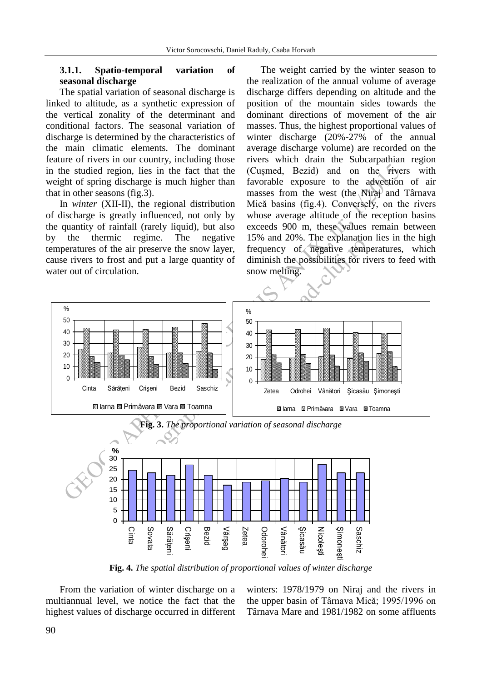#### **3.1.1. Spatio-temporal variation of seasonal discharge**

The spatial variation of seasonal discharge is linked to altitude, as a synthetic expression of the vertical zonality of the determinant and conditional factors. The seasonal variation of discharge is determined by the characteristics of the main climatic elements. The dominant feature of rivers in our country, including those in the studied region, lies in the fact that the weight of spring discharge is much higher than that in other seasons (fig.3).

In *winter* (XII-II), the regional distribution of discharge is greatly influenced, not only by the quantity of rainfall (rarely liquid), but also by the thermic regime. The negative temperatures of the air preserve the snow layer, cause rivers to frost and put a large quantity of water out of circulation.

The weight carried by the winter season to the realization of the annual volume of average discharge differs depending on altitude and the position of the mountain sides towards the dominant directions of movement of the air masses. Thus, the highest proportional values of winter discharge (20%-27% of the annual average discharge volume) are recorded on the rivers which drain the Subcarpathian region (Cușmed, Bezid) and on the rivers with favorable exposure to the advection of air masses from the west (the Niraj and Târnava Mică basins (fig.4). Conversely, on the rivers whose average altitude of the reception basins exceeds 900 m, these values remain between 15% and 20%. The explanation lies in the high frequency of negative temperatures, which diminish the possibilities for rivers to feed with snow melting.



**Fig. 4.** *The spatial distribution of proportional values of winter discharge* 

From the variation of winter discharge on a multiannual level, we notice the fact that the highest values of discharge occurred in different winters: 1978/1979 on Niraj and the rivers in the upper basin of Târnava Mică; 1995/1996 on Târnava Mare and 1981/1982 on some affluents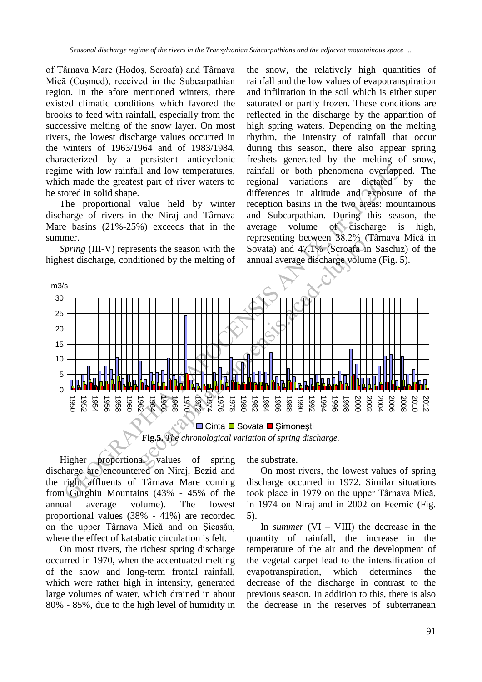of Târnava Mare (Hodoș, Scroafa) and Târnava Mică (Cușmed), received in the Subcarpathian region. In the afore mentioned winters, there existed climatic conditions which favored the brooks to feed with rainfall, especially from the successive melting of the snow layer. On most rivers, the lowest discharge values occurred in the winters of 1963/1964 and of 1983/1984, characterized by a persistent anticyclonic regime with low rainfall and low temperatures, which made the greatest part of river waters to be stored in solid shape.

The proportional value held by winter discharge of rivers in the Niraj and Târnava Mare basins (21%-25%) exceeds that in the summer.

*Spring* (III-V) represents the season with the highest discharge, conditioned by the melting of

the snow, the relatively high quantities of rainfall and the low values of evapotranspiration and infiltration in the soil which is either super saturated or partly frozen. These conditions are reflected in the discharge by the apparition of high spring waters. Depending on the melting rhythm, the intensity of rainfall that occur during this season, there also appear spring freshets generated by the melting of snow, rainfall or both phenomena overlapped. The regional variations are dictated by the differences in altitude and exposure of the reception basins in the two areas: mountainous and Subcarpathian. During this season, the average volume of discharge is high, representing between 38.2% (Târnava Mică in Sovata) and 47.1% (Scroafa in Saschiz) of the annual average discharge volume (Fig. 5).



**■ Cinta ■ Sovata ■ Şimoneşti Fig.5.** *The chronological variation of spring discharge.* 

Higher proportional values of spring discharge are encountered on Niraj, Bezid and the right affluents of Târnava Mare coming from Gurghiu Mountains (43% - 45% of the annual average volume). The lowest proportional values (38% - 41%) are recorded on the upper Târnava Mică and on Șicasău, where the effect of katabatic circulation is felt.

On most rivers, the richest spring discharge occurred in 1970, when the accentuated melting of the snow and long-term frontal rainfall, which were rather high in intensity, generated large volumes of water, which drained in about 80% - 85%, due to the high level of humidity in the substrate.

On most rivers, the lowest values of spring discharge occurred in 1972. Similar situations took place in 1979 on the upper Târnava Mică, in 1974 on Niraj and in 2002 on Feernic (Fig. 5).

In *summer*  $(VI - VIII)$  the decrease in the quantity of rainfall, the increase in the temperature of the air and the development of the vegetal carpet lead to the intensification of evapotranspiration, which determines the decrease of the discharge in contrast to the previous season. In addition to this, there is also the decrease in the reserves of subterranean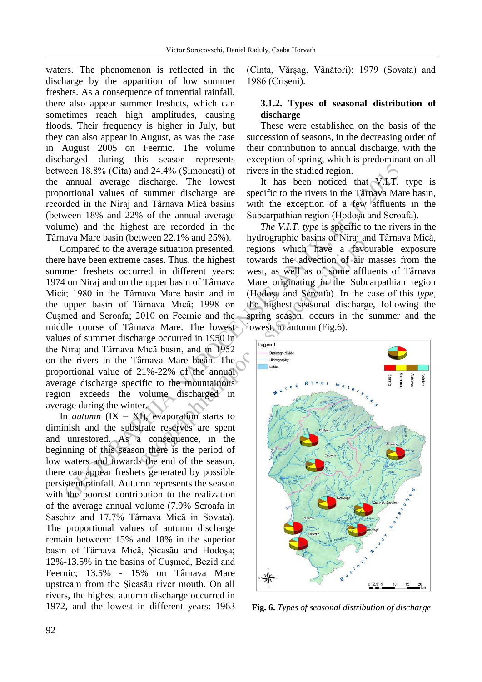waters. The phenomenon is reflected in the discharge by the apparition of low summer freshets. As a consequence of torrential rainfall, there also appear summer freshets, which can sometimes reach high amplitudes, causing floods. Their frequency is higher in July, but they can also appear in August, as was the case in August 2005 on Feernic. The volume discharged during this season represents between 18.8% (Cita) and 24.4% (Șimonești) of the annual average discharge. The lowest proportional values of summer discharge are recorded in the Niraj and Târnava Mică basins (between 18% and 22% of the annual average volume) and the highest are recorded in the Târnava Mare basin (between 22.1% and 25%).

cion 18.8% (Cita) and 24.4% (Simonesti) of rivers in the studied region.<br>
annual average discharge. The lowest it has been noticed that  $\sqrt{x_1x_2}$  and average discharge. The lowest it has been noticed in the Niraj and Ta Compared to the average situation presented, there have been extreme cases. Thus, the highest summer freshets occurred in different years: 1974 on Niraj and on the upper basin of Târnava Mică; 1980 in the Târnava Mare basin and in the upper basin of Târnava Mică; 1998 on Cușmed and Scroafa; 2010 on Feernic and the middle course of Târnava Mare. The lowest values of summer discharge occurred in 1950 in the Niraj and Târnava Mică basin, and in 1952 on the rivers in the Târnava Mare basin. The proportional value of 21%-22% of the annual average discharge specific to the mountainous region exceeds the volume discharged in average during the winter.

In *autumn*  $(IX - XI)$ , evaporation starts to diminish and the substrate reserves are spent and unrestored. As a consequence, in the beginning of this season there is the period of low waters and towards the end of the season, there can appear freshets generated by possible persistent rainfall. Autumn represents the season with the poorest contribution to the realization of the average annual volume (7.9% Scroafa in Saschiz and 17.7% Târnava Mică in Sovata). The proportional values of autumn discharge remain between: 15% and 18% in the superior basin of Târnava Mică, Șicasău and Hodoșa; 12%-13.5% in the basins of Cușmed, Bezid and Feernic; 13.5% - 15% on Târnava Mare upstream from the Șicasău river mouth. On all rivers, the highest autumn discharge occurred in 1972, and the lowest in different years: 1963 (Cinta, Vărșag, Vânători); 1979 (Sovata) and 1986 (Crișeni).

## **3.1.2. Types of seasonal distribution of discharge**

These were established on the basis of the succession of seasons, in the decreasing order of their contribution to annual discharge, with the exception of spring, which is predominant on all rivers in the studied region.

It has been noticed that  $\sqrt{1}$ . type is specific to the rivers in the Târnava Mare basin, with the exception of a few affluents in the Subcarpathian region (Hodoșa and Scroafa).

*The V.I.T. type* is specific to the rivers in the hydrographic basins of Niraj and Târnava Mică, regions which have a favourable exposure towards the advection of air masses from the west, as well as of some affluents of Târnava Mare originating in the Subcarpathian region (Hodoșa and Scroafa). In the case of this *type,*  the highest seasonal discharge, following the spring season, occurs in the summer and the lowest, in autumn (Fig.6).



**Fig. 6.** *Types of seasonal distribution of discharge*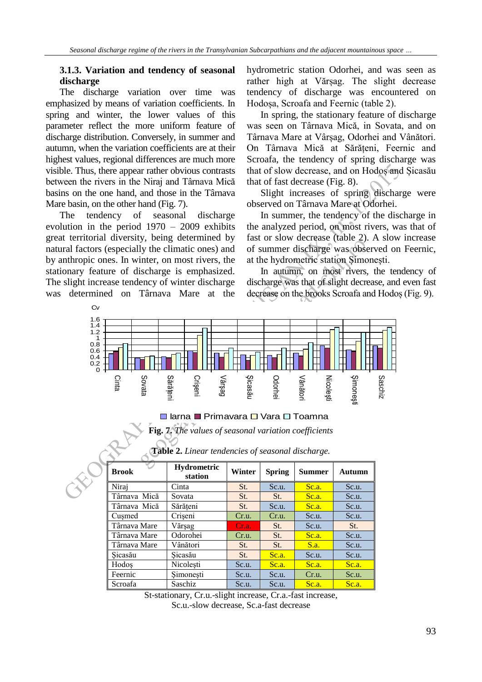### **3.1.3. Variation and tendency of seasonal discharge**

The discharge variation over time was emphasized by means of variation coefficients. In spring and winter, the lower values of this parameter reflect the more uniform feature of discharge distribution. Conversely, in summer and autumn, when the variation coefficients are at their highest values, regional differences are much more visible. Thus, there appear rather obvious contrasts between the rivers in the Niraj and Târnava Mică basins on the one hand, and those in the Târnava Mare basin, on the other hand (Fig. 7).

The tendency of seasonal discharge evolution in the period 1970 – 2009 exhibits great territorial diversity, being determined by natural factors (especially the climatic ones) and by anthropic ones. In winter, on most rivers, the stationary feature of discharge is emphasized. The slight increase tendency of winter discharge was determined on Târnava Mare at the

hydrometric station Odorhei, and was seen as rather high at Vărșag. The slight decrease tendency of discharge was encountered on Hodoșa, Scroafa and Feernic (table 2).

In spring, the stationary feature of discharge was seen on Târnava Mică, in Sovata, and on Târnava Mare at Vârșag, Odorhei and Vânători. On Târnava Mică at Sărățeni, Feernic and Scroafa, the tendency of spring discharge was that of slow decrease, and on Hodoș and Șicasău that of fast decrease (Fig. 8).

Slight increases of spring discharge were observed on Târnava Mare at Odorhei.

In summer, the tendency of the discharge in the analyzed period, on most rivers, was that of fast or slow decrease (table 2). A slow increase of summer discharge was observed on Feernic, at the hydrometric station Șimonești.

In autumn, on most rivers, the tendency of discharge was that of slight decrease, and even fast decrease on the brooks Scroafa and Hodoș (Fig. 9).



#### ■ larna ■ Primavara □ Vara □ Toamna

**Fig. 7.** *The values of seasonal variation coefficients* 

| <b>Brook</b> | <b>Hydrometric</b><br>station | Winter | <b>Spring</b> | <b>Summer</b> | <b>Autumn</b> |
|--------------|-------------------------------|--------|---------------|---------------|---------------|
| Niraj        | Cinta                         | St.    | Sc.u.         | Sc.a.         | Sc.u.         |
| Târnava Mică | Sovata                        | St.    | St.           | Sc.a.         | Sc.u.         |
| Târnava Mică | Sărățeni                      | St.    | Sc.u.         | Sc.a.         | Sc.u.         |
| Cusmed       | Crișeni                       | Cr.u.  | Cr.u.         | Sc.u.         | Sc.u.         |
| Târnava Mare | Vărșag                        | Cr.a.  | St.           | Sc.u.         | St.           |
| Târnava Mare | Odorohei                      | Cr.u.  | St.           | Sc.a.         | Sc.u.         |
| Târnava Mare | Vânători                      | St.    | St.           | S.a.          | Sc.u.         |
| Sicasău      | Sicasău                       | St.    | Sc.a.         | Sc.u.         | Sc.u.         |
| Hodos        | Nicolești                     | Sc.u.  | Sc.a.         | Sc.a.         | Sc.a.         |
| Feernic      | Simonești                     | Sc.u.  | Sc.u.         | Cr.u.         | Sc.u.         |
| Scroafa      | <b>Saschiz</b>                | Sc.u.  | Sc.u.         | Sc.a.         | Sc.a.         |

**Table 2.** *Linear tendencies of seasonal discharge.* 

St-stationary, Cr.u.-slight increase, Cr.a.-fast increase, Sc.u.-slow decrease, Sc.a-fast decrease